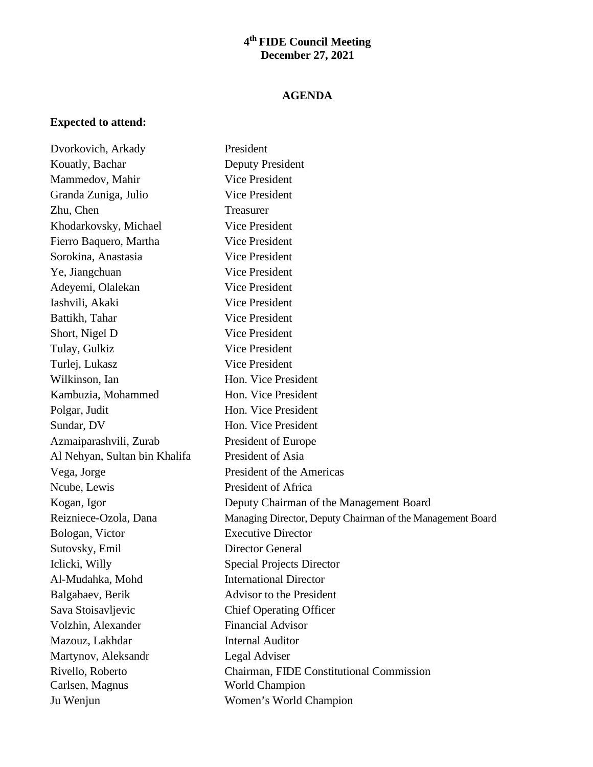## **4th FIDE Council Meeting December 27, 2021**

# **AGENDA**

# **Expected to attend:**

| Dvorkovich, Arkady            | President                                                  |
|-------------------------------|------------------------------------------------------------|
| Kouatly, Bachar               | <b>Deputy President</b>                                    |
| Mammedov, Mahir               | Vice President                                             |
| Granda Zuniga, Julio          | Vice President                                             |
| Zhu, Chen                     | Treasurer                                                  |
| Khodarkovsky, Michael         | Vice President                                             |
| Fierro Baquero, Martha        | Vice President                                             |
| Sorokina, Anastasia           | Vice President                                             |
| Ye, Jiangchuan                | Vice President                                             |
| Adeyemi, Olalekan             | Vice President                                             |
| Iashvili, Akaki               | Vice President                                             |
| Battikh, Tahar                | Vice President                                             |
| Short, Nigel D                | Vice President                                             |
| Tulay, Gulkiz                 | <b>Vice President</b>                                      |
| Turlej, Lukasz                | Vice President                                             |
| Wilkinson, Ian                | Hon. Vice President                                        |
| Kambuzia, Mohammed            | Hon. Vice President                                        |
| Polgar, Judit                 | Hon. Vice President                                        |
| Sundar, DV                    | Hon. Vice President                                        |
| Azmaiparashvili, Zurab        | President of Europe                                        |
| Al Nehyan, Sultan bin Khalifa | President of Asia                                          |
| Vega, Jorge                   | President of the Americas                                  |
| Ncube, Lewis                  | President of Africa                                        |
| Kogan, Igor                   | Deputy Chairman of the Management Board                    |
| Reizniece-Ozola, Dana         | Managing Director, Deputy Chairman of the Management Board |
| Bologan, Victor               | <b>Executive Director</b>                                  |
| Sutovsky, Emil                | <b>Director General</b>                                    |
| Iclicki, Willy                | <b>Special Projects Director</b>                           |
| Al-Mudahka, Mohd              | <b>International Director</b>                              |
| Balgabaev, Berik              | Advisor to the President                                   |
| Sava Stoisavljevic            | <b>Chief Operating Officer</b>                             |
| Volzhin, Alexander            | <b>Financial Advisor</b>                                   |
| Mazouz, Lakhdar               | <b>Internal Auditor</b>                                    |
| Martynov, Aleksandr           | Legal Adviser                                              |
| Rivello, Roberto              | Chairman, FIDE Constitutional Commission                   |
| Carlsen, Magnus               | <b>World Champion</b>                                      |
| Ju Wenjun                     | Women's World Champion                                     |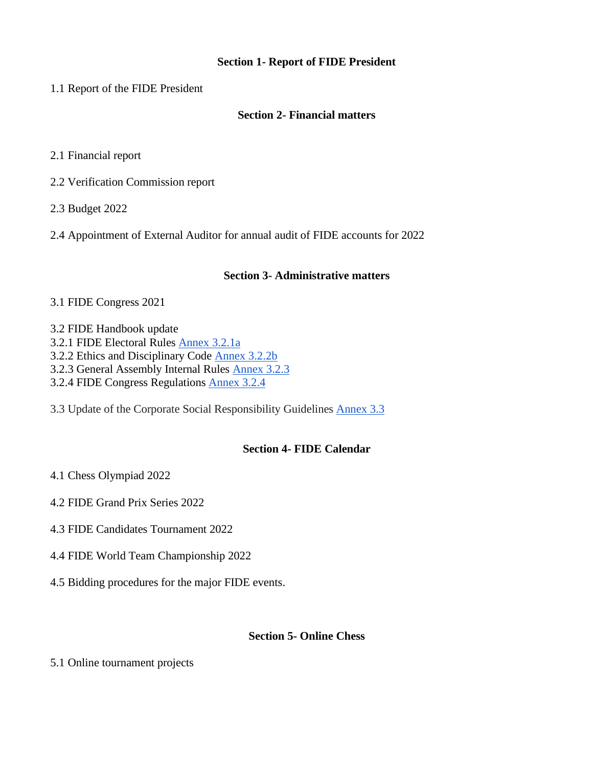#### **Section 1- Report of FIDE President**

1.1 Report of the FIDE President

## **Section 2- Financial matters**

- 2.1 Financial report
- 2.2 Verification Commission report
- 2.3 Budget 2022
- 2.4 Appointment of External Auditor for annual audit of FIDE accounts for 2022

#### **Section 3- Administrative matters**

#### 3.1 FIDE Congress 2021

- 3.2 FIDE Handbook update
- 3.2.1 FIDE Electoral Rules [Annex](https://doc.fide.com/docs/DOC/4FC2021/Annex%203.2.1a%20Electoral%20Rules.pdf) 3.2.1a
- 3.2.2 Ethics and Disciplinary Code [Annex](https://doc.fide.com/docs/DOC/4FC2021/Annex%203.2.2b%20NEW%20FIDE%20ETHICS%20%26%20DISCIPLINARY%20CODE%20(FINAL%20FINAL%20VERSION%20-%20FOR%20ADOPTION%20BY%20GENERAL%20ASSEMBLY).pdf) 3.2.2b
- 3.2.3 General Assembly Internal Rules [Annex](https://doc.fide.com/docs/DOC/4FC2021/Annex%203.2.3%20General%20Assembly%20Internal%20Rules.pdf) [3.2.3](https://doc.fide.com/docs/DOC/4FC2021/Annex%203.2.3%20General%20Assembly%20Internal%20Rules.pdf)
- 3.2.4 FIDE Congress Regulations [Annex](https://doc.fide.com/docs/DOC/4FC2021/Annex%203.2.4%20FIDE-Congress-Regulations%20s.pdf) [3.2.4](https://doc.fide.com/docs/DOC/4FC2021/Annex%203.2.4%20FIDE-Congress-Regulations%20s.pdf)
- 3.3 Update of the Corporate Social Responsibility Guidelines [Annex](https://doc.fide.com/docs/DOC/4FC2021/Annex%203.3%20FIDE%20Guidelines%20for%20Avoidance%20of%20the%20Conflict%20of%20Interest%20in%20Employment%20and%20Appointments.pdf) 3.3

## **Section 4- FIDE Calendar**

- 4.1 Chess Olympiad 2022
- 4.2 FIDE Grand Prix Series 2022
- 4.3 FIDE Candidates Tournament 2022
- 4.4 FIDE World Team Championship 2022
- 4.5 Bidding procedures for the major FIDE events.

## **Section 5- Online Chess**

5.1 Online tournament projects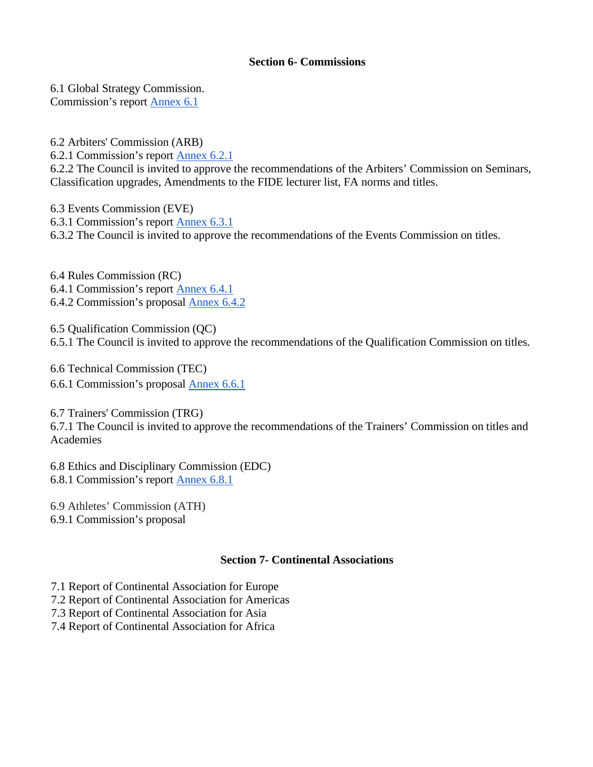#### **Section 6- Commissions**

6.1 Global Strategy Commission. Commission's report [Annex](https://doc.fide.com/docs/DOC/4FC2021/Annex%206.1%20GSC%20Report%20on%20activities%202021-4.pdf) 6.1

6.2 Arbiters' Commission (ARB)

6.2.1 Commission's report [Annex](https://doc.fide.com/docs/DOC/4FC2021/Annex%206.2.1%202021%204FC%20ARB%20Report.pdf) 6.2.1

6.2.2 The Council is invited to approve the recommendations of the Arbiters' Commission on Seminars, Classification upgrades, Amendments to the FIDE lecturer list, FA norms and titles.

6.3 Events Commission (EVE)

6.3.1 Commission's report [Annex](https://doc.fide.com/docs/DOC/4FC2021/Annex%206.3.1%202021%204th%20FC%20Meeting%20FIDE%20Events%20Commission.pdf) 6.3.1

6.3.2 The Council is invited to approve the recommendations of the Events Commission on titles.

6.4 Rules Commission (RC) 6.4.1 Commission's report [Annex](https://doc.fide.com/docs/DOC/4FC2021/Annex%206.4.1%20Report_of_RC_FIDECouncil2021.pdf) 6.4.1 6.4.2 Commission's proposal [Annex](https://doc.fide.com/docs/DOC/4FC2021/Annex%206.4.2%20%20ListOfChangesForUsingElectronicScoreSheet-V4.pdf) 6.4.2

6.5 Qualification Commission (QC) 6.5.1 The Council is invited to approve the recommendations of the Qualification Commission on titles.

6.6 Technical Commission (TEC) 6.6.1 Commission's proposal [Annex](https://doc.fide.com/docs/DOC/4FC2021/Annex%206.6.1%20FIDE%20Handbook%20TEC%20changes_1.pdf) 6.6.1

6.7 Trainers' Commission (TRG)

6.7.1 The Council is invited to approve the recommendations of the Trainers' Commission on titles and Academies

6.8 Ethics and Disciplinary Commission (EDC) 6.8.1 Commission's report [Annex](https://doc.fide.com/docs/DOC/4FC2021/Annex%206.8.1%20EDC%20report%20to%20FIDE%20Council%20December%202021.pdf) 6.8.1

6.9 Athletes' Commission (ATH) 6.9.1 Commission's proposal

## **Section 7- Continental Associations**

- 7.1 Report of Continental Association for Europe
- 7.2 Report of Continental Association for Americas

7.3 Report of Continental Association for Asia

7.4 Report of Continental Association for Africa